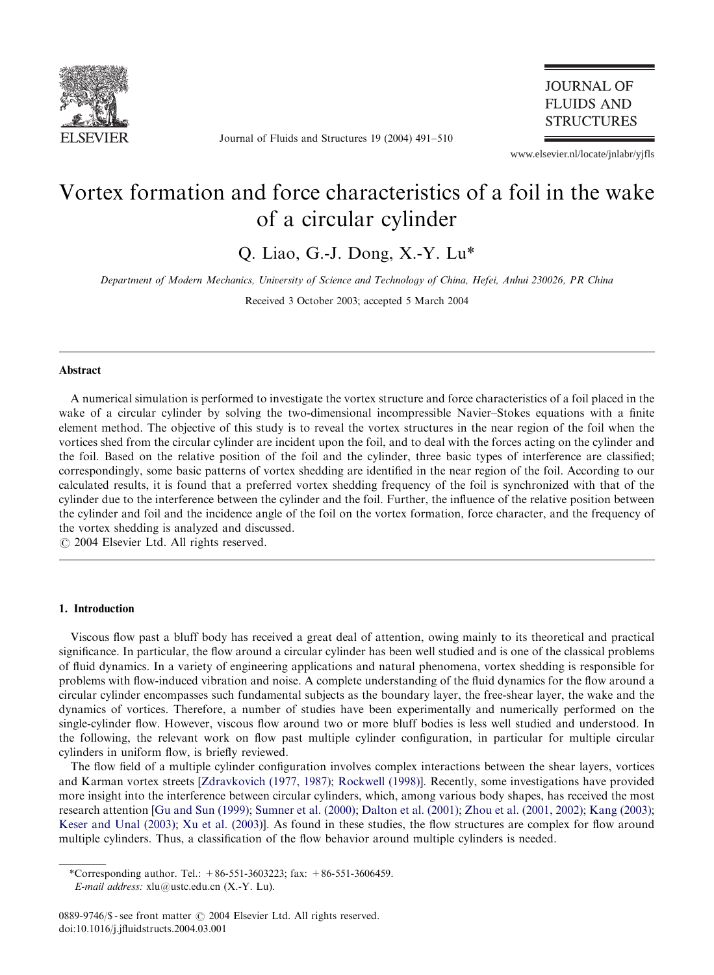

Journal of Fluids and Structures 19 (2004) 491–510

## **JOURNAL OF FLUIDS AND STRUCTURES**

www.elsevier.nl/locate/jnlabr/yjfls

# Vortex formation and force characteristics of a foil in the wake of a circular cylinder

Q. Liao, G.-J. Dong, X.-Y. Lu\*

Department of Modern Mechanics, University of Science and Technology of China, Hefei, Anhui 230026, PR China

Received 3 October 2003; accepted 5 March 2004

## Abstract

A numerical simulation is performed to investigate the vortex structure and force characteristics of a foil placed in the wake of a circular cylinder by solving the two-dimensional incompressible Navier–Stokes equations with a finite element method. The objective of this study is to reveal the vortex structures in the near region of the foil when the vortices shed from the circular cylinder are incident upon the foil, and to deal with the forces acting on the cylinder and the foil. Based on the relative position of the foil and the cylinder, three basic types of interference are classified; correspondingly, some basic patterns of vortex shedding are identified in the near region of the foil. According to our calculated results, it is found that a preferred vortex shedding frequency of the foil is synchronized with that of the cylinder due to the interference between the cylinder and the foil. Further, the influence of the relative position between the cylinder and foil and the incidence angle of the foil on the vortex formation, force character, and the frequency of the vortex shedding is analyzed and discussed.

 $O$  2004 Elsevier Ltd. All rights reserved.

## 1. Introduction

Viscous flow past a bluff bodyhas received a great deal of attention, owing mainlyto its theoretical and practical significance. In particular, the flow around a circular cylinder has been well studied and is one of the classical problems of fluid dynamics. In a variety of engineering applications and natural phenomena, vortex shedding is responsible for problems with flow-induced vibration and noise. A complete understanding of the fluid dynamics for the flow around a circular cylinder encompasses such fundamental subjects as the boundary layer, the free-shear layer, the wake and the dynamics of vortices. Therefore, a number of studies have been experimentally and numerically performed on the single-cylinder flow. Howev[er,](#page-19-0) [viscous](#page-19-0) [flow](#page-19-0) [around](#page-19-0) [two](#page-19-0) [or](#page-19-0) [more](#page-19-0) [bluff](#page-19-0) bodies is less well studied and understood. In the following, the relevant work on [flow past multiple](#page-19-0) c[ylinder configuratio](#page-18-0)[n, in particular for mu](#page-19-0)l[tiple circular](#page-18-0) cylinders in unifor[m](#page-18-0) [flow,](#page-18-0) [is](#page-18-0) [briefly](#page-18-0) [re](#page-18-0)viewed.

[The](#page-18-0) [flow](#page-18-0) [field](#page-18-0) [of](#page-18-0) [a](#page-18-0) [m](#page-18-0)[ultiple](#page-19-0) [cylinder](#page-19-0) [c](#page-19-0)onfiguration involves complex interactions between the shear layers, vortices and Karman vortex streets [Zdravkovich (1977, 1987); Rockwell (1998)]. Recently, some investigations have provided more insight into the interference between circular cylinders, which, among various body shapes, has received the most research attention [Gu and Sun (1999); Sumner et al. (2000); Dalton et al. (2001); Zhou et al. (2001, 2002); Kang (2003); Keser and Unal (2003); Xu et al. (2003)]. As found in these studies, the flow structures are complex for flow around multiple cylinders. Thus, a classification of the flow behavior around multiple cylinders is needed.

<sup>\*</sup>Corresponding author. Tel.:  $+86-551-3603223$ ; fax:  $+86-551-3606459$ .

E-mail address: xlu@ustc.edu.cn (X.-Y. Lu).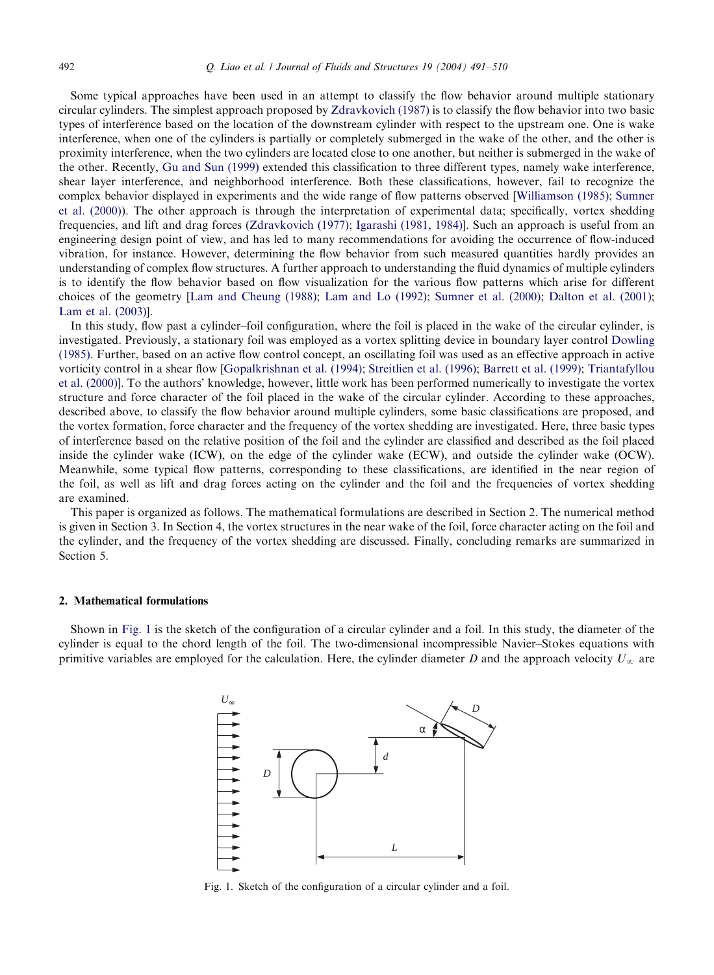## <span id="page-1-0"></span>492 Q. Liao et al. / Journal of Fluids and Structures 19 (2004) 491–510

Some typical approaches have been used in an attempt to classify the flow behavior around multiple stationary circular cylinders. T[he](#page-18-0) [simplest](#page-18-0) [approach](#page-18-0) proposed by Zdravkovich (1987) is to classifythe flow behavior into two basic types of interference based on the location of the downstream cylinder with respect to the upstream one. One is wake interference, when one of the cylinders is partially or completely submerged in the wake o[f](#page-19-0) [the](#page-19-0) [other,](#page-19-0) [and](#page-19-0) [the](#page-19-0) [other](#page-19-0) [is](#page-19-0) proximity interference, when the two cylinders are located close to one another, but neither is submerged in the wake of the other. Recently, Gu and Sun (1999) [extended](#page-19-0) [this](#page-19-0) [clas](#page-19-0)[sification](#page-18-0) [to](#page-18-0) [three](#page-18-0) [diffe](#page-18-0)rent types, namely wake interference, shear layer interference, and neighborhood interference. Both these classifications, however, fail to recognize the complex behavior displayed in experiments and the wide range of flow patterns observed [Williamson (1985); Sumner et al. (2000)). The other approach is through the interpretation of experimental data; specifically, vortex shedding frequencies, and lift and drag forces (Zdravkovich (1977); Igarashi (1981, 1984)]. Such an approach is useful from an engineering design point [of](#page-18-0) [view,](#page-18-0) [and](#page-18-0) [has](#page-18-0) [led](#page-18-0) [to](#page-18-0) [manyrecommendations](#page-18-0) [for](#page-19-0) [avoiding](#page-19-0) [the](#page-19-0) [occu](#page-19-0)r[rence](#page-18-0) [of](#page-18-0) [flow-induced](#page-18-0) [vibration,](#page-18-0) [for](#page-18-0) [inst](#page-18-0)ance. However, determining the flow behavior from such measured quantities hardly provides an understanding of complex flow structures. A further approach to understanding the fluid dynamics of multiple cylinders is to identify the flow behavior based on flow visualization for the various flow patterns which arise for [different](#page-18-0) [choices](#page-18-0) of the geometry[Lam a[nd Cheung \(1988\);](#page-18-0) Lam an[d Lo \(1992\);](#page-19-0) Sumner [et al. \(2000\);](#page-18-0) Dalton [et al. \(2001\);](#page-19-0) [Lam et al. \(](#page-19-0)2003)].

In this study, flow past a cylinder–foil configuration, where the foil is placed in the wake of the circular cylinder, is investigated. Previously, a stationary foil was employed as a vortex splitting device in boundary layer control Dowling (1985). Further, based on an active flow control concept, an oscillating foil was used as an effective approach in active vorticity control in a shear flow [Gopalkrishnan et al. (1994); Streitlien et al. (1996); Barrett et al. (1999); Triantafyllou et al. (2000)]. To the authors' knowledge, however, little work has been performed numericallyto investigate the vortex structure and force character of the foil placed in the wake of the circular cylinder. According to these approaches, described above, to classifythe flow behavior around multiple cylinders, some basic classifications are proposed, and the vortex formation, force character and the frequency of the vortex shedding are investigated. Here, three basic types of interference based on the relative position of the foil and the cylinder are classified and described as the foil placed inside the cylinder wake (ICW), on the edge of the cylinder wake (ECW), and outside the cylinder wake (OCW). Meanwhile, some typical flow patterns, corresponding to these classifications, are identified in the near region of the foil, as well as lift and drag forces acting on the cylinder and the foil and the frequencies of vortex shedding are examined.

This paper is organized as follows. The mathematical formulations are described in Section 2. The numerical method is given in Section 3. In Section 4, the vortex structures in the near wake of the foil, force character acting on the foil and the cylinder, and the frequency of the vortex shedding are discussed. Finally, concluding remarks are summarized in Section 5.

## 2. Mathematical formulations

Shown in Fig. 1 is the sketch of the configuration of a circular cylinder and a foil. In this study, the diameter of the cylinder is equal to the chord length of the foil. The two-dimensional incompressible Navier–Stokes equations with primitive variables are employed for the calculation. Here, the cylinder diameter D and the approach velocity  $U_{\infty}$  are



Fig. 1. Sketch of the configuration of a circular cylinder and a foil.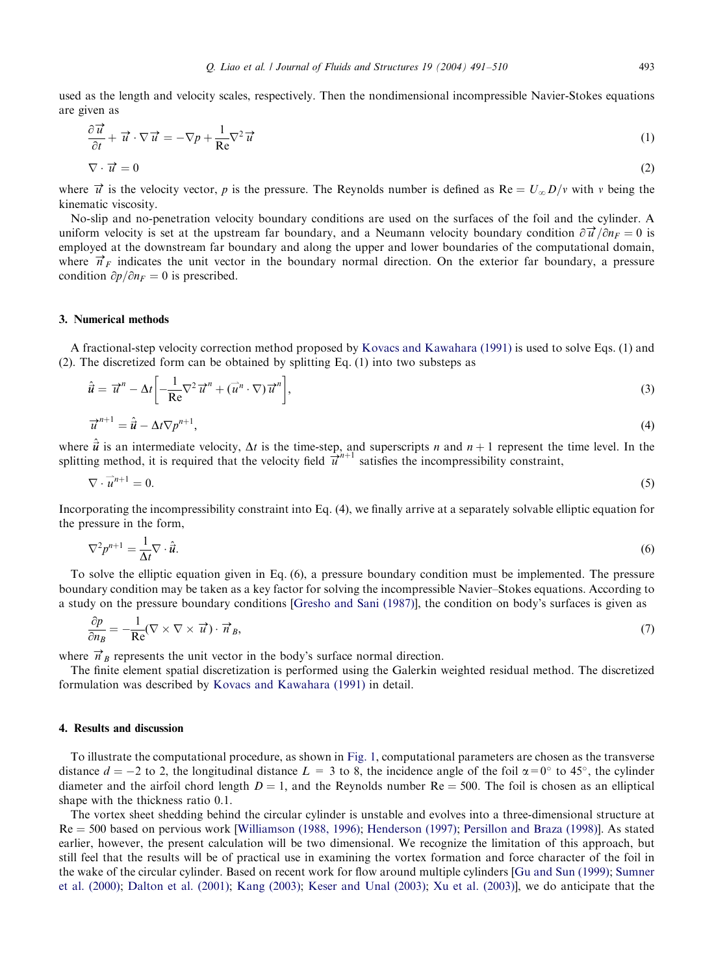used as the length and velocity scales, respectively. Then the nondimensional incompressible Navier-Stokes equations are given as

$$
\frac{\partial \vec{u}}{\partial t} + \vec{u} \cdot \nabla \vec{u} = -\nabla p + \frac{1}{\text{Re}} \nabla^2 \vec{u}
$$
 (1)

$$
\nabla \cdot \vec{u} = 0 \tag{2}
$$

where  $\vec{u}$  is the velocity vector, p is the pressure. The Reynolds number is defined as Re =  $U_{\infty}D/v$  with v being the kinematic viscosity.

No-slip and no-penetration velocity boundary conditions are used on the surfaces of the foil and the cylinder. A uniform velocity is set at the upstream far boundary, and a Neumann velocity boundary condition  $\partial \vec{u}/\partial n_F = 0$  is employed at the downstream far boundary and along the upper and lower boundaries of the computational domain, where  $\vec{n}_F$  indicates the unit vector in the boundary normal direction. On the exterior far boundary, a pressure condition  $\partial p/\partial n_F = 0$  is prescribed.

## 3. Numerical methods

A fractional-step velocity correction method proposed by Kovacs and Kawahara (1991) is used to solve Eqs. (1) and (2). The discretized form can be obtained bysplitting Eq. (1) into two substeps as

$$
\hat{\vec{u}} = \vec{u}^n - \Delta t \left[ -\frac{1}{\text{Re}} \nabla^2 \vec{u}^n + (\vec{u}^n \cdot \nabla) \vec{u}^n \right],\tag{3}
$$

$$
\vec{u}^{n+1} = \hat{\vec{u}} - \Delta t \nabla p^{n+1},\tag{4}
$$

where  $\hat{u}$  is an intermediate velocity,  $\Delta t$  is the time-step, and superscripts n and  $n + 1$  represent the time level. In the splitting method, it is required that the velocity field  $\vec{u}^{n+1}$  satisfies the incompressibility constraint,

$$
\nabla \cdot \vec{u}^{n+1} = 0. \tag{5}
$$

Incorporating the incompressibility constraint into Eq. (4), we finally arrive at a separately solvable elliptic equation for the pressure in the form,

$$
\nabla^2 p^{n+1} = \frac{1}{\Delta t} \nabla \cdot \hat{\boldsymbol{u}}.\tag{6}
$$

To solve the elliptic equation given in Eq. (6), a pressure boundarycondition must be implemented. The pressure boundary condition may be taken as a key factor for solving the incompressible Navier–Stokes equations. According to a study on the pressure boundary conditions [Gresho and Sani (1987)], the condition on body's surfaces is given as

$$
\frac{\partial p}{\partial n_B} = -\frac{1}{\text{Re}} (\nabla \times \nabla \times \vec{u}) \cdot \vec{n}_B, \tag{7}
$$

where  $\vec{n}_B$  represents the unit vector in the body's surface normal direction.

The finite element spatial discretization is performed using the Galerkin weighted residual method. The discretized formulation was described by Kovacs and Kawahara (1[991\)](#page-1-0) in detail.

## 4. Results and discussion

To illustrate the computational p[rocedure, as shown in](#page-19-0) Fig. 1, computational [parameters are chosen as the](#page-19-0) transverse distance  $d = -2$  to 2, [the](#page-18-0) longitudinal distance  $L = 3$  to 8, the [incidence](#page-18-0) [angl](#page-18-0)e of the foil  $\alpha = 0^{\circ}$  to 45°, the cylinder diameter and the airfoil chord length  $D = 1$ , and the Reynolds number  $Re = 500$ . The foil is chosen as an elliptical shape with the thickness ratio 0.1.

[The vortex](#page-19-0) sheet shedding behind the circular [cylinder is unstable and](#page-18-0) [evolves into a th](#page-19-0)[ree-dimensional](#page-18-0) [stru](#page-18-0)[cture](#page-19-0) [at](#page-19-0)  $Re = 500$  bas[ed](#page-18-0) [on](#page-18-0) [pervious](#page-18-0) [work](#page-18-0) [\[Williamson](#page-18-0) [\(](#page-18-0)1988, 1996); Henderson (1997); Persillon and Braza (1998)]. As stated earlier, however, the present calculation will be two dimensional. We recognize the limitation of this approach, but still feel that the results will be of practical use in examining the vortex formation and force character of the foil in the wake of the circular cylinder. Based on recent work for flow around multiple cylinders [Gu and Sun (1999); Sumner et al. (2000); Dalton et al. (2001); Kang (2003); Keser and Unal (2003); Xu et al. (2003)], we do anticipate that the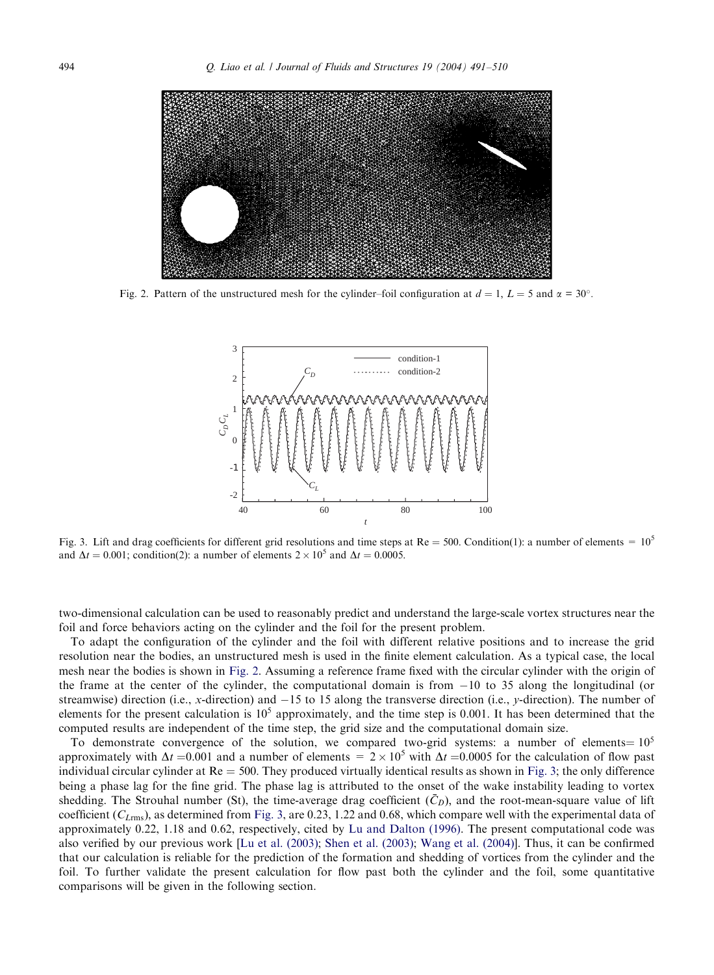<span id="page-3-0"></span>

Fig. 2. Pattern of the unstructured mesh for the cylinder–foil configuration at  $d = 1$ ,  $L = 5$  and  $\alpha = 30^{\circ}$ .



Fig. 3. Lift and drag coefficients for different grid resolutions and time steps at Re = 500. Condition(1): a number of elements =  $10^5$ and  $\Delta t = 0.001$ ; condition(2): a number of elements  $2 \times 10^5$  and  $\Delta t = 0.0005$ .

two-dimensional calculation can be used to reasonably predict and understand the large-scale vortex structures near the foil and force behaviors acting on the cylinder and the foil for the present problem.

To adapt the configuration of the cylinder and the foil with different relative positions and to increase the grid resolution near the bodies, an unstructured mesh is used in the finite element calculation. As a typical case, the local mesh near the bodies is shown in Fig. 2. Assuming a reference frame fixed with the circular cylinder with the origin of the frame at the center of the cylinder, the computational domain is from  $-10$  to 35 along the longitudinal (or streamwise) direction (i.e., x-direction) and  $-15$  to 15 along the transverse direction (i.e., y-direction). The number of elements for the present calculation is  $10^5$  approximately, and the time step is 0.001. It has been determined that the computed results are independent of the time step, the grid size and the computational domain size.

To demonstrate convergence of the solution, we compared two-grid systems: a number of elements =  $10^5$ approximately with  $\Delta t = 0.001$  and a number of elements =  $2 \times 10^5$  with  $\Delta t = 0.0005$  for the calculation of flow past individual circular cylinder at  $Re = 500$ . They produced virtually identical [results](#page-18-0) as shown in Fig. 3; the only difference being a phase lag for the fine grid. [The](#page-18-0) [phase](#page-18-0) [lag](#page-18-0) [i](#page-19-0)s [attributed](#page-19-0) [to](#page-19-0) [the](#page-19-0) [onset](#page-19-0) [of](#page-19-0) the [wake](#page-19-0) instability leading to vortex shedding. The Strouhal number (St), the time-average drag coefficient  $(\bar{C}_D)$ , and the root-mean-square value of lift coefficient  $(C_{Lrmms})$ , as determined from Fig. 3, are 0.23, 1.22 and 0.68, which compare well with the experimental data of approximately 0.22, 1.18 and 0.62, respectively, cited by Lu and Dalton (1996). The present computational code was also verified by our previous work [Lu et al. (2003); Shen et al. (2003); Wang et al. (2004)]. Thus, it can be confirmed that our calculation is reliable for the prediction of the formation and shedding of vortices from the cylinder and the foil. To further validate the present calculation for flow past both the cylinder and the foil, some quantitative comparisons will be given in the following section.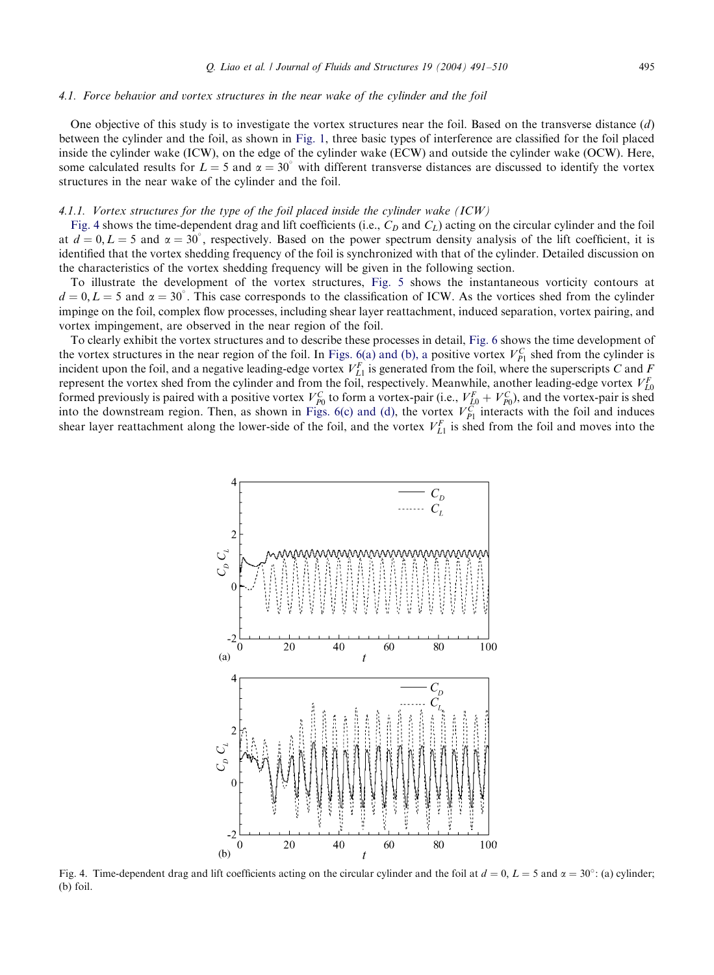## <span id="page-4-0"></span>4.1. Force behavior and vortex structures in the near wake of the cylinder and the foil

One objective of this study is to investigate the vortex structures near the foil. Based on the transverse distance  $(d)$ between the cylinder and the foil, as shown in Fig. 1, three basic types of interference are classified for the foil placed inside the cylinder wake (ICW), on the edge of the cylinder wake (ECW) and outside the cylinder wake (OCW). Here, some calculated results for  $L = 5$  and  $\alpha = 30^{\circ}$  with different transverse distances are discussed to identify the vortex structures in the near wake of the cylinder and the foil.

#### 4.1.1. Vortex structures for the type of the foil placed inside t[he cylin](#page-5-0)der wake  $(ICW)$

Fig. 4 shows the time-dependent drag and lift coefficients (i.e.,  $C_D$  and  $C_L$ ) acting on the circular cylinder and the foil at  $d = 0, L = 5$  and  $\alpha = 30^{\circ}$ , respectively. Based on the power spectrum density analysis of the lift coefficient, it is identified that the vortex shedding frequency of the foil is synchronized with that of the cylinder. Detailed discussion on the characteristics of the vortex shedding frequencywill be given in the following section.

To illustrate the development of the vortex structures, Fig. 5 shows the [instan](#page-6-0)taneous vorticitycontours at  $d = 0, L = 5$  and  $\alpha = 30^{\circ}$ . This case corresponds to [the](#page-6-0) [classification](#page-6-0) [of](#page-6-0) [I](#page-6-0)CW. As the vortices shed from the cylinder impinge on the foil, complex flow processes, including shear layer reattachment, induced separation, vortex pairing, and vortex impingement, are observed in the near region of the foil.

To clearlyexhibit the vortex structures and to [describe these proc](#page-6-0)esses in detail, Fig. 6 shows the time development of the vortex structures in the near region of the foil. In Figs. 6(a) and (b), a positive vortex  $V_{p_1}^C$  shed from the cylinder is incident upon the foil, and a negative leading-edge vortex  $V_{L1}^F$  is generated from the foil, where the superscripts C and F represent the vortex shed from the cylinder and from the foil, respectively. Meanwhile, another leading-edge vortex  $V_{L0}^F$ formed previously is paired with a positive vortex  $V_{p_0}^C$  to form a vortex-pair (i.e.,  $V_{L_0}^F + V_{p_0}^C$ ), and the vortex-pair is shed into the downstream region. Then, as shown in Figs. 6(c) and (d), the vortex  $V_{p_1}^C$  interacts with the foil and induces shear layer reattachment along the lower-side of the foil, and the vortex  $V_{L1}^F$  is shed from the foil and moves into the



Fig. 4. Time-dependent drag and lift coefficients acting on the circular cylinder and the foil at  $d = 0$ ,  $L = 5$  and  $\alpha = 30^{\circ}$ : (a) cylinder; (b) foil.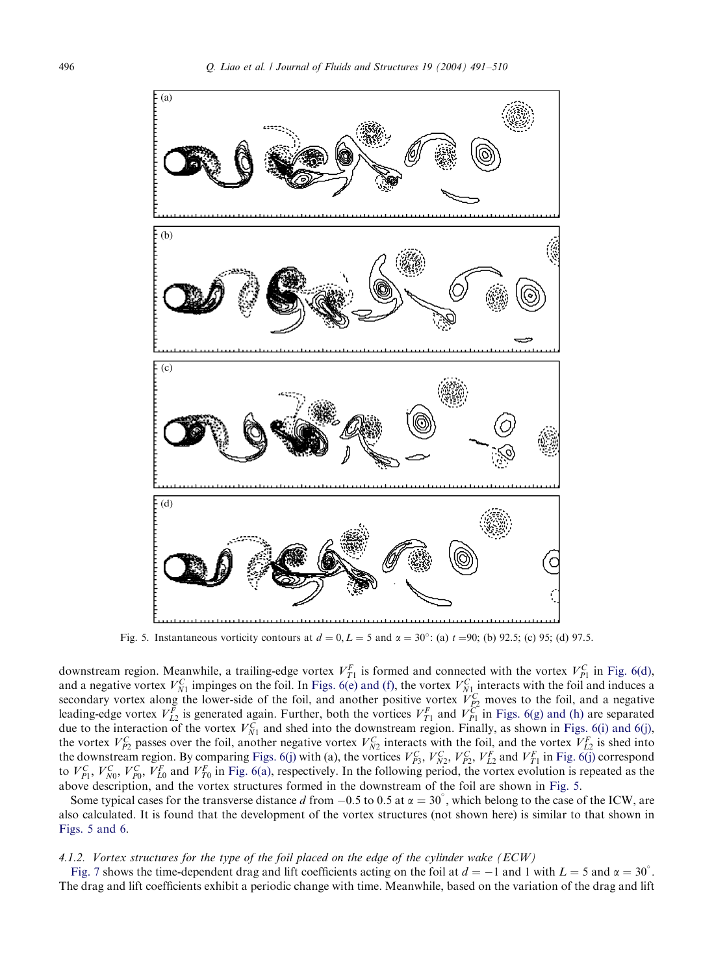

Fig. 5. Instantaneous vorticity contours at  $d = 0, L = 5$  and  $\alpha = 30^{\circ}$ : (a)  $t = 90$ ; (b) 92.5; (c) 95; (d) 97.5.

downstream region. Meanwhile, a trailing-edge vortex  $V_{T_1}^F$  is formed and connected with the vortex  $V_{P_1}^C$  in [Fig.](#page-6-0) [6\(d\),](#page-6-0) and a negative vortex  $V_{N1}^C$  impinges on the foil. In Figs. 6(e) and (f), the vortex  $V_{N1}^C$  interacts with the foil and induces a s[e](#page-6-0)condary vortex along the lower-side [of](#page-6-0) [the](#page-6-0) [fo](#page-6-0)il, [and](#page-6-0) another positive vortex  $V_{p_2}^C$  moves to the [foil,](#page-6-0) and a negative leading-edge vortex  $V_{L2}^F$  is genera[ted](#page-6-0) [again](#page-6-0). Further, both the vortices  $V_{T1}^F$  and  $V_{P1}^C$  in Figs. 6(g) and (h) are separated due to the interaction of the vortex  $V_{N1}^C$  and shed into the downstream region. Finally, as shown in Figs. 6(i) and 6(j), the vortex  $V_{p_2}^C$  passes over the foil, another negative vortex  $V_{N2}^C$  interacts with the foil, and the vortex  $V_{L2}^F$  is shed into the downstream region. By comparing Figs. 6(j) with (a), the vortices  $V_{P3}^C$ ,  $V_{P2}^C$ ,  $V_{P2}^C$ ,  $V_{L2}^F$  and  $V_{T1}^F$  in Fig. 6(j) correspond to  $V_{P1}^C$ ,  $V_{N0}^C$ ,  $V_{P0}^F$ ,  $V_{L0}^F$  and  $V_{T0}^F$  in Fig. 6(a), respectively. In the following period, the vortex evolution is repeated as the above description, and the vortex structures formed in the downstream of the foil are shown in Fig. 5.

Some typical cases for the transverse distance d from  $-0.5$  to 0.5 at  $\alpha = 30^\circ$ , which belong to the case of the ICW, are al[so](#page-7-0) [calc](#page-7-0)ulated. It is found that the development of the vortex structures (not shown here) is similar to that shown in Figs. 5 and 6.

## 4.1.2. Vortex structures for the type of the foil placed on the edge of the cylinder wake (ECW)

Fig. 7 shows the time-dependent drag and lift coefficients acting on the foil at  $d = -1$  and 1 with  $L = 5$  and  $\alpha = 30^{\circ}$ . The drag and lift coefficients exhibit a periodic change with time. Meanwhile, based on the variation of the drag and lift

<span id="page-5-0"></span>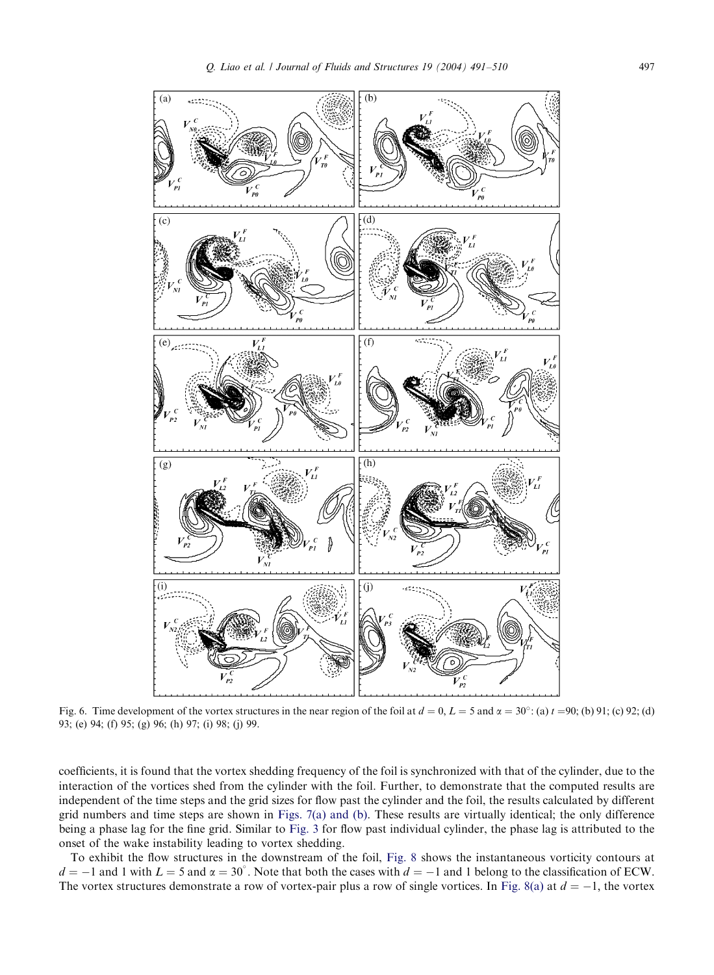<span id="page-6-0"></span>

Fig. 6. Time development of the vortex structures in the near region of the foil at  $d = 0$ ,  $L = 5$  and  $\alpha = 30^{\circ}$ ; (a)  $t = 90$ ; (b) 91; (c) 92; (d) 93; (e) 94; (f) 95; (g) 96; (h) 97; (i) 98; (j) 99.

coefficients, it is found that the vortex sheddin[g](#page-3-0) [frequ](#page-3-0)ency of the foil is synchronized with that of the cylinder, due to the interaction of the vortices shed from the cylinder with the foil. Further, to demonstrate that the computed results are independent of the time steps and the grid sizes for flow past the [cylinde](#page-7-0)r and the foil, the results calculated by different grid numbers and time steps are shown in Figs. 7(a) and (b). These results are virtuallyidentical; the onlydifference being a phase lag for the fine grid. Similar to Fig. 3 for flow past individual cylinder, t[he](#page-7-0) [phase](#page-7-0) [l](#page-7-0)ag is attributed to the onset of the wake instability leading to vortex shedding.

To exhibit the flow structures in the downstream of the foil, Fig. 8 shows the instantaneous vorticitycontours at  $d = -1$  and 1 with  $L = 5$  and  $\alpha = 30^{\circ}$ . Note that both the cases with  $d = -1$  and 1 belong to the classification of ECW. The vortex structures demonstrate a row of vortex-pair plus a row of single vortices. In Fig. 8(a) at  $d = -1$ , the vortex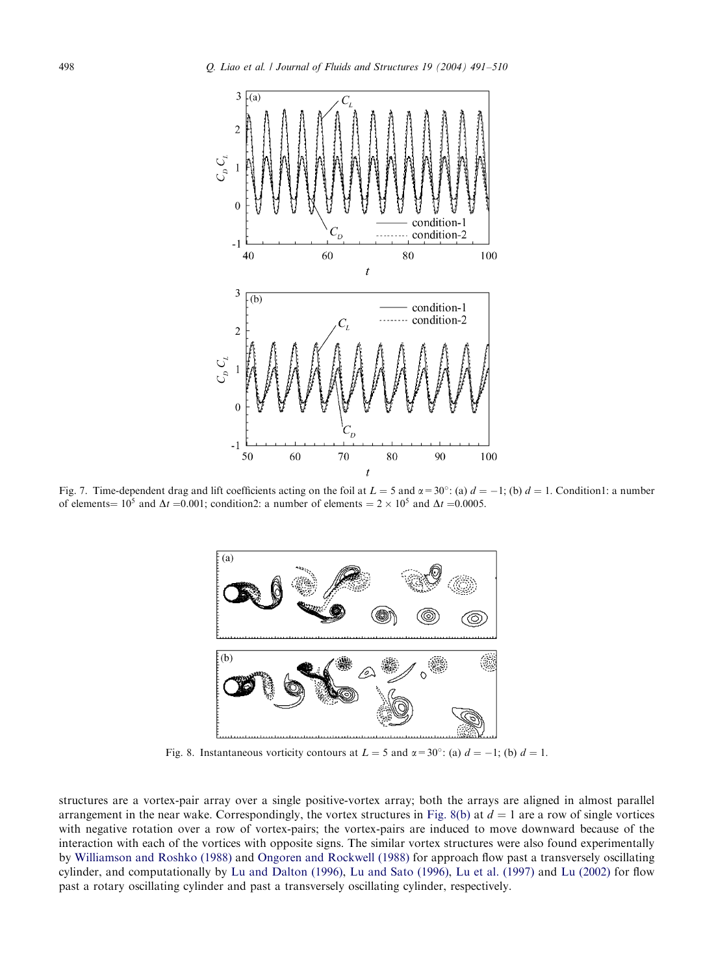

Fig. 7. Time-dependent drag and lift coefficients acting on the foil at  $L = 5$  and  $\alpha = 30^{\circ}$ : (a)  $d = -1$ ; (b)  $d = 1$ . Condition1: a number of elements =  $10^5$  and  $\Delta t$  = 0.001; condition2: a number of elements =  $2 \times 10^5$  and  $\Delta t$  = 0.0005.



Fig. 8. Instantaneous vorticity contours at  $L = 5$  and  $\alpha = 30^{\circ}$ : (a)  $d = -1$ ; (b)  $d = 1$ .

str[uctures](#page-19-0) [are](#page-19-0) [a](#page-19-0) [vortex-pair](#page-19-0) [array](#page-19-0) over [a](#page-18-0) [single](#page-18-0) [positive-vortex](#page-18-0) [array](#page-18-0); both t[he arrays are ali](#page-18-0)gned in almost parallel arrangement in the near wake. C[orrespondingly,](#page-18-0) [the](#page-18-0) [vor](#page-18-0)t[ex](#page-18-0) [structures](#page-18-0) [in](#page-18-0) Fig. 8(b) at  $d = 1$  are a ro[w](#page-18-0) [of](#page-18-0) [single](#page-18-0) vortices with negative rotation over a row of vortex-pairs; the vortex-pairs are induced to move downward because of the interaction with each of the vortices with opposite signs. The similar vortex structures were also found experimentally by Williamson and Roshko (1988) and Ongoren and Rockwell (1988) for approach flow past a transversely oscillating cylinder, and computationally by Lu and Dalton (1996), Lu and Sato (1996), Lu et al. (1997) and Lu (2002) for flow past a rotary oscillating cylinder and past a transversely oscillating cylinder, respectively.

<span id="page-7-0"></span>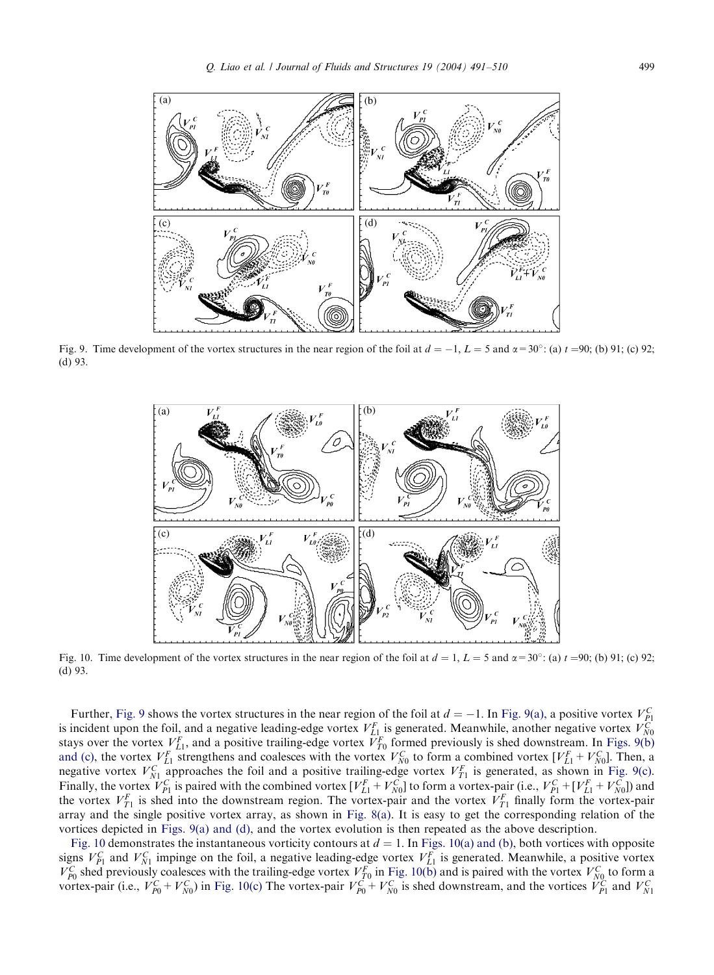

Fig. 9. Time development of the vortex structures in the near region of the foil at  $d = -1$ ,  $L = 5$  and  $\alpha = 30^{\circ}$ ; (a)  $t = 90$ ; (b) 91; (c) 92; (d) 93.



Fig. 10. Time development of the vortex structures in the near region of the foil at  $d = 1$ ,  $L = 5$  and  $\alpha = 30^{\circ}$ ; (a)  $t = 90$ ; (b) 91; (c) 92; (d) 93.

Further, Fig. 9 shows the vortex structures in the near region of the foil at  $d = -1$ . In Fig. 9(a), a positive vortex  $V_{F_1}^C$  is incident upon the foil, and a negative leading-edge vortex  $V_{L1}^F$  is generated. Meanwh and (c), th[e](#page-7-0) [vortex](#page-7-0)  $V_{L1}^F$  strengthens and coalesces with the vortex  $V_{N0}^C$  to form a combined vortex  $[V_{L1}^F + V_{N0}^C]$ . Then, a negative vortex  $V_{N1}^C$  approaches the foil and a positive trailing-edge vortex  $V_{T1}^F$  is generated, as shown in Fig. 9(c). Finally, the vortex  $V_{P1}^C$  is paired with the combined vortex  $[V_{L1}^F + V_{N0}^C]$  to form a vortex-pair (i.e.,  $V_{P1}^C + [V_{L1}^F + V_{N0}^C]$ ) and the vortex  $V_{T1}^F$  is shed into the downstream region. The vortex-pair and the vortex  $V_{T1}^F$  finally form the vortex-pair arrayand the single positive vortex array, as shown in Fig. 8(a). It is easyto get the corresponding relation of the vortices depicted in Figs. 9(a) and (d), and the vortex evolution is then repeated as the above description.

Fig. 10 demonstrates the instantaneous vorticity contours at  $d = 1$ . In Figs. 10(a) and (b), both vortices with opposite signs  $V_{p_1}^C$  and  $V_{N_1}^C$  impinge on the foil, a negative leading-edge vortex  $V_{L_1}^F$  is generated. Meanwhile, a positive vortex  $V_{P0}^C$  shed previously coalesces with the trailing-edge vortex  $V_{T0}^F$  in Fig. 10(b) and is paired with the vortex  $V_{N0}^C$  to form a vortex-pair (i.e.,  $V_{P0}^C + V_{N0}^C$ ) in Fig. 10(c) The vortex-pair  $V_{P0}^C + V_{N0}^C$  is shed downstream, and the vortices  $V_{P1}^C$  and  $V_{N1}^C$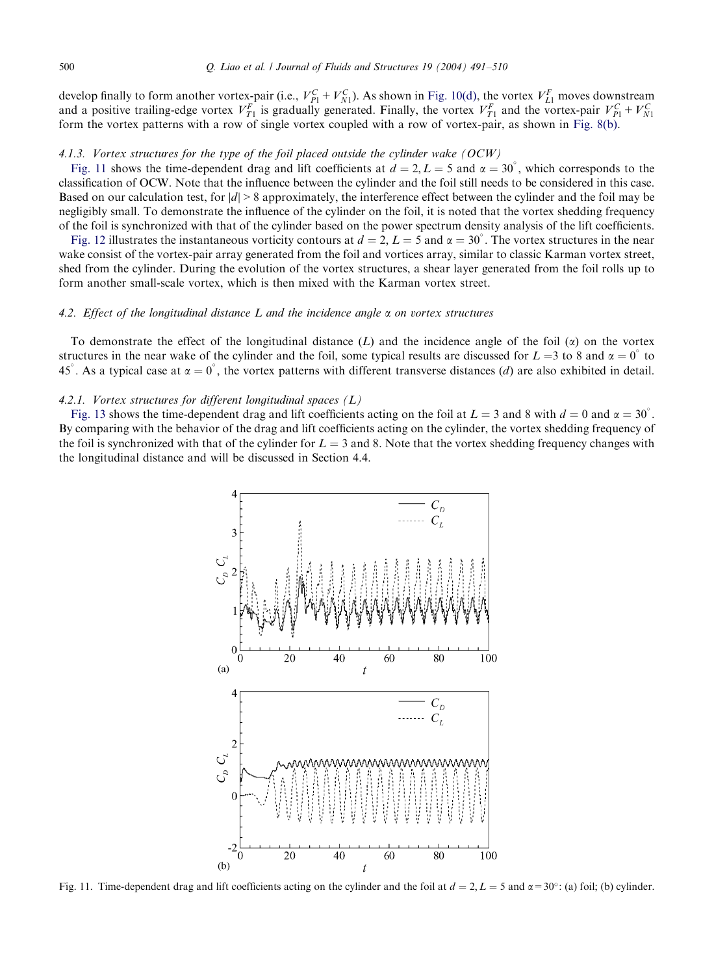## 500 Q. Liao et al. / Journal of Fluids and Structures 19 (2004) 491–510

develop finally to form another vortex-pair (i.e.,  $V_{P1}^C + V_{N1}^C$ ). As shown in Fig. 10(d), the vortex  $V_{L1}^F$  moves downstream and a positive trailing-edge vortex  $V_{T1}^F$  is gradually generated. Finally, the vortex  $V_{T1}^F$  and the vortex-pair  $V_{P1}^C + V_{N1}^C$ form the vortex patterns with a row of single vortex coupled with a row of vortex-pair, as shown in Fig. 8(b).

## 4.1.3. Vortex structures for the type of the foil placed outside the cylinder wake  $(OCW)$

Fig. 11 shows the time-dependent drag and lift coefficients at  $d = 2, L = 5$  and  $\alpha = 30^{\circ}$ , which corresponds to the cl[assificat](#page-10-0)ion of OCW. Note that the influence between the cylinder and the foil still needs to be considered in this case. Based on our calculation test, for  $|d| > 8$  approximately, the interference effect between the cylinder and the foil may be negligiblysmall. To demonstrate the influence of the cylinder on the foil, it is noted that the vortex shedding frequency of the foil is synchronized with that of the cylinder based on the power spectrum density analysis of the lift coefficients.

Fig. 12 illustrates the instantaneous vorticity contours at  $d = 2$ ,  $L = 5$  and  $\alpha = 30^{\circ}$ . The vortex structures in the near wake consist of the vortex-pair arraygenerated from the foil and vortices array, similar to classic Karman vortex street, shed from the cylinder. During the evolution of the vortex structures, a shear layer generated from the foil rolls up to form another small-scale vortex, which is then mixed with the Karman vortex street.

## 4.2. Effect of the longitudinal distance L and the incidence angle  $\alpha$  on vortex structures

To demonstrate the effect of the longitudinal distance  $(L)$  and the incidence angle of the foil  $(\alpha)$  on the vortex st[ructures](#page-10-0) in the near wake of the cylinder and the foil, some typical results are discussed for  $L=3$  to 8 and  $\alpha = 0^{\circ}$  to 45<sup>°</sup>. As a typical case at  $\alpha = 0$ <sup>°</sup>, the vortex patterns with different transverse distances (*d*) are also exhibited in detail.

## 4.2.1. Vortex structures for different longitudinal spaces  $(L)$

Fig. 13 shows the time-dependent drag and lift coefficients acting on the foil at  $L = 3$  and 8 with  $d = 0$  and  $\alpha = 30^{\circ}$ . By comparing with the behavior of the drag and lift coefficients acting on the cylinder, the vortex shedding frequency of the foil is synchronized with that of the cylinder for  $L = 3$  and 8. Note that the vortex shedding frequency changes with the longitudinal distance and will be discussed in Section 4.4.



Fig. 11. Time-dependent drag and lift coefficients acting on the cylinder and the foil at  $d = 2$ ,  $L = 5$  and  $\alpha = 30^{\circ}$ : (a) foil; (b) cylinder.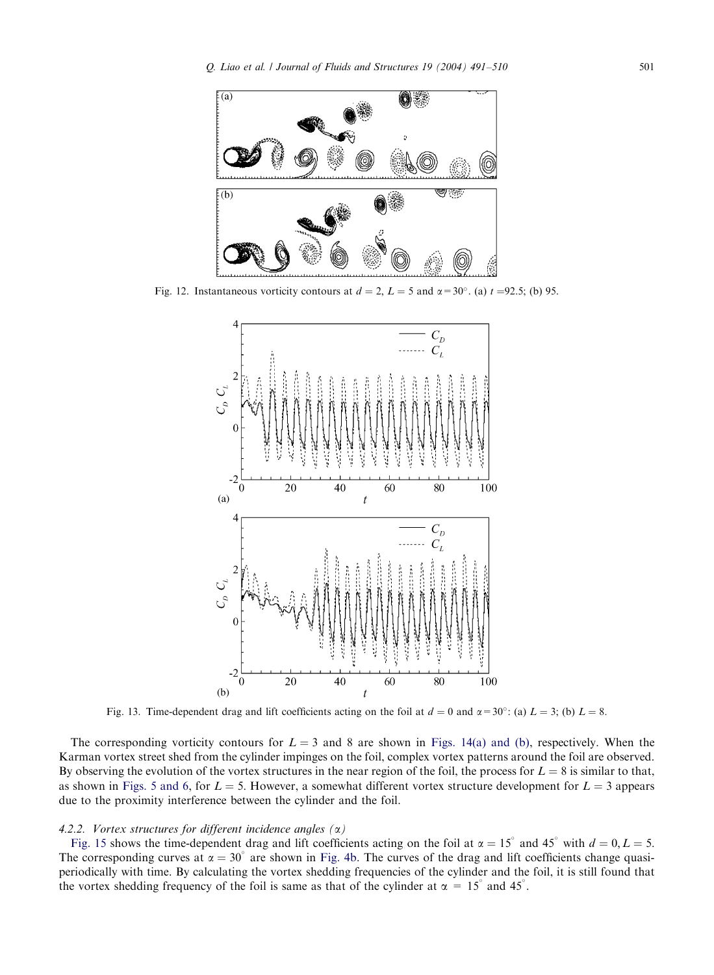<span id="page-10-0"></span>

Fig. 12. Instantaneous vorticity contours at  $d = 2$ ,  $L = 5$  and  $\alpha = 30^{\circ}$ . (a)  $t = 92.5$ ; (b) 95.



Fig[. 13. Time-depe](#page-5-0)ndent drag and lift coefficients acting on the foil at  $d = 0$  and  $\alpha = 30^{\circ}$ : (a)  $L = 3$ ; (b)  $L = 8$ .

The corresponding vorticity contours for  $L = 3$  and 8 are shown in Figs. 14(a) and (b), respectively. When the Karman vortex street shed from the cylinder impinges on the foil, complex vortex patterns around the foil are observed. By observing the evolution of the vortex structures in the near region of the foil, the process for  $L = 8$  is similar to that, as [shown](#page-11-0) in Figs. 5 and 6, for  $L = 5$ . However, a somewhat different vortex structure development for  $L = 3$  appears due to the proximity interference between the cylin[der](#page-4-0) [and](#page-4-0) the foil.

## 4.2.2. Vortex structures for different incidence angles  $(\alpha)$

Fig. 15 shows the time-dependent drag and lift coefficients acting on the foil at  $\alpha = 15^{\circ}$  and 45° with  $d = 0, L = 5$ . The corresponding curves at  $\alpha = 30^{\circ}$  are shown in Fig. 4b. The curves of the drag and lift coefficients change quasiperiodicallywith time. Bycalculating the vortex shedding frequencies of the cylinder and the foil, it is still found that the vortex shedding frequency of the foil is same as that of the cylinder at  $\alpha = 15^{\circ}$  and 45<sup>°</sup>.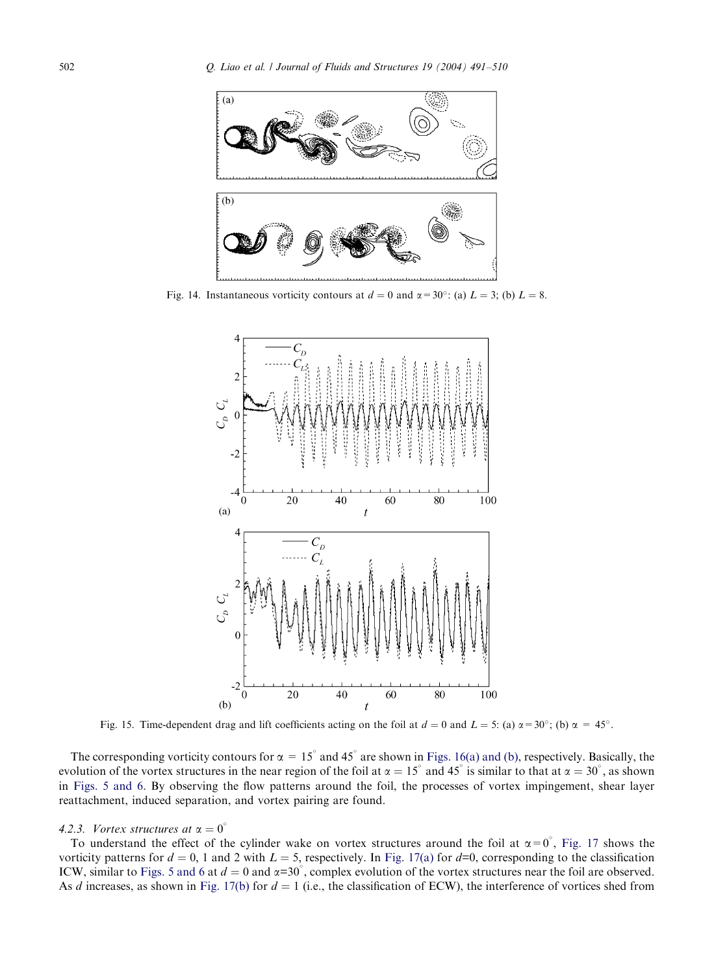<span id="page-11-0"></span>

Fig. 14. Instantaneous vorticity contours at  $d = 0$  and  $\alpha = 30^{\circ}$ : (a)  $L = 3$ ; (b)  $L = 8$ .



[Fig. 15. T](#page-5-0)ime-dependent drag and lift coefficients acting on the foil at  $d = 0$  and  $L = 5$ : (a)  $\alpha = 30^{\circ}$ ; (b)  $\alpha = 45^{\circ}$ .

The corresponding vorticity contours for  $\alpha = 15^\circ$  and 45° are shown in Figs. 16(a) and (b), respectively. Basically, the evolution of the vortex structures in the near region of the foil at  $\alpha = 15^\circ$  and 45° is similar to that at  $\alpha = 30^\circ$ , as shown in Figs. 5 and 6. By observing the flow patterns around the f[oil, the pro](#page-12-0)cesses of vortex imping[ement,](#page-12-0) shear layer reattachment, i[nduced separa](#page-5-0)tion, and vortex pairing are found.

## 4.2.3. Vortex structures at  $\alpha = 0^{\circ}$

To understand the effect of the cylinder wake on vortex structures around the foil at  $\alpha = 0^{\degree}$ , Fig. 17 shows the vorticity patterns for  $d = 0$ , 1 and 2 with  $L = 5$ , respectively. In Fig. 17(a) for  $d=0$ , corresponding to the classification ICW, similar to Figs. 5 and 6 at  $d = 0$  and  $\alpha = 30^{\circ}$ , complex evolution of the vortex structures near the foil are observed. As d increases, as shown in Fig. 17(b) for  $d = 1$  (i.e., the classification of ECW), the interference of vortices shed from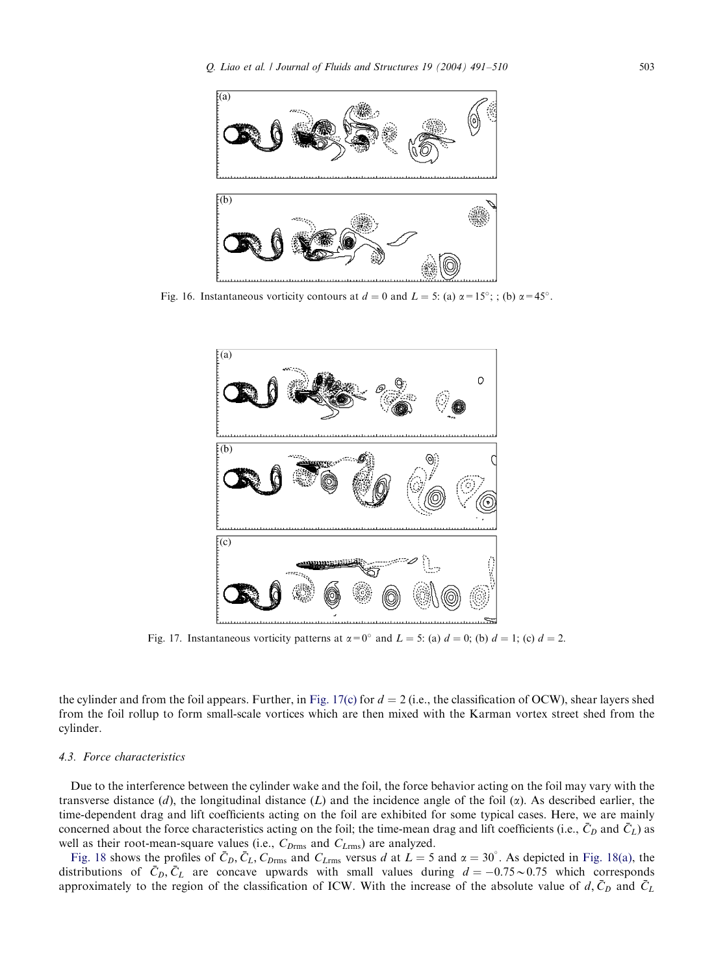<span id="page-12-0"></span>

Fig. 16. Instantaneous vorticity contours at  $d = 0$  and  $L = 5$ : (a)  $\alpha = 15^{\circ}$ ; ; (b)  $\alpha = 45^{\circ}$ .



Fig. 17. Instantaneous vorticity patterns at  $\alpha = 0^{\circ}$  and  $L = 5$ : (a)  $d = 0$ ; (b)  $d = 1$ ; (c)  $d = 2$ .

the cylinder and from the foil appears. Further, in Fig. 17(c) for  $d = 2$  (i.e., the classification of OCW), shear layers shed from the foil rollup to form small-scale vortices which are then mixed with the Karman vortex street shed from the cylinder.

## 4.3. Force characteristics

Due to the interference between the cylinder wake and the foil, the force behavior acting on the foil may vary with the tr[ansverse](#page-13-0) distance  $(d)$ , the longitudinal distance  $(L)$  and the incidence angle of the foil  $(\alpha)$ . As descri[bed](#page-13-0) [earlier,](#page-13-0) the time-dependent drag and lift coefficients acting on the foil are exhibited for some typical cases. Here, we are mainly concerned about the force characteristics acting on the foil; the time-mean drag and lift coefficients (i.e.,  $\bar{C}_D$  and  $\bar{C}_L$ ) as well as their root-mean-square values (i.e.,  $C_{D\text{rms}}$  and  $C_{L\text{rms}}$ ) are analyzed.

Fig. 18 shows the profiles of  $\bar{C}_D$ ,  $\bar{C}_L$ ,  $C_{D\text{rms}}$  and  $C_{L\text{rms}}$  versus d at  $L = 5$  and  $\alpha = 30^\circ$ . As depicted in Fig. 18(a), the distributions of  $\bar{C}_D$ ,  $\bar{C}_L$  are concave upwards with small values during  $d = -0.75 \sim 0.75$  which corresponds approximately to the region of the classification of ICW. With the increase of the absolute value of  $d, \bar{C}_D$  and  $\bar{C}_L$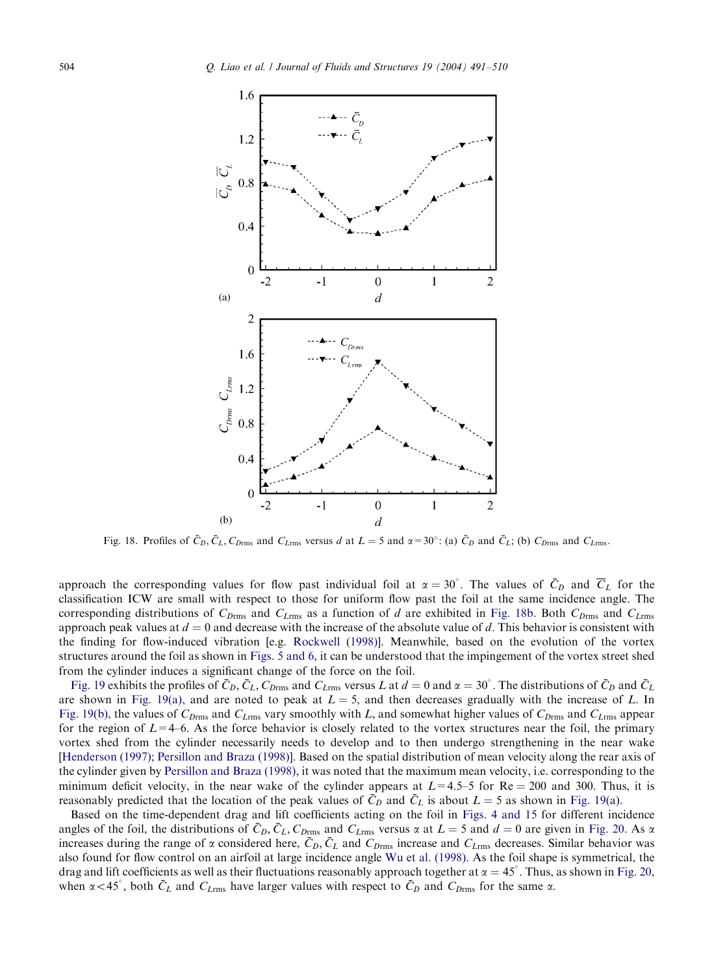<span id="page-13-0"></span>

Fig. 18. Profiles of  $\bar{C}_D$ ,  $\bar{C}_L$ ,  $C_{Drmms}$  and  $C_{Lrmms}$  versus d at  $L = 5$  and  $\alpha = 30^\circ$ : (a)  $\bar{C}_D$  and  $\bar{C}_L$ ; (b)  $C_{Drmms}$  and  $C_{Lrmms}$ .

approach the corresponding values for flo[w](#page-19-0) [past](#page-19-0) [individual](#page-19-0) foil at  $\alpha = 30^{\circ}$ . The values of  $\bar{C}_D$  and  $\bar{C}_L$  for the classification ICW are small with re[spect](#page-5-0) [to](#page-5-0) [those](#page-5-0) for uniform flow past the foil at the same incidence angle. The corresponding distributions of  $C_{Drmms}$  and  $C_{Lrmms}$  as a function of d are exhibited in Fig. 18b. Both  $C_{Drmms}$  and  $C_{Lrmms}$ a[pproach](#page-14-0) peak values at  $d = 0$  and decrease with the increase of the absolute value of d. This behavior is consistent with the finding f[or](#page-14-0) [flow-ind](#page-14-0)uced vibration [e.g. Rockwell (1998)]. Meanwhile, based on the evolution of the vortex [structures](#page-14-0) around the foil as shown in Figs. 5 and 6, it can be understood that the impingement of the vortex street shed from the cylinder induces a significant change of the force on the foil.

Fig. 19 exhibits the profiles of  $\bar{C}_D$ ,  $\bar{C}_L$ ,  $C_{Drm rms}$  and  $C_{Lrm rms}$  versus L at  $d = 0$  and  $\alpha = 30^\circ$ . The distributions of  $\bar{C}_D$  and  $\bar{C}_L$ [are](#page-18-0) [shown](#page-18-0) [in](#page-18-0) Fig. [19\(a\), and are noted to pea](#page-19-0)k at  $L = 5$ , and then decreases gradually with the increase of L. In Fig. 19(b), the values of  $C_{D\text{rms}}$  and  $C_{L\text{rms}}$  vary smoothly with L, and somewhat higher values of  $C_{D\text{rms}}$  and  $C_{L\text{rms}}$  appear for the region of  $L=4-6$ . As the force behavior is closely related to the vortex structures near the foil, the primary vortex shed from the cylinder necessarily needs to develop and to then undergo strengthening i[n](#page-14-0) [the](#page-14-0) [near](#page-14-0) wake [Henderson (1997); Persillon and Braza (1998)]. Based on the spatial distribution [of](#page-4-0) [mean](#page-4-0) [veloci](#page-4-0)tyalong the rear axis of the cylinder given by Persillon and Braza (1998), it was noted that the maximum mean velocity, i.e. corresp[onding](#page-15-0) to the minimum deficit velocity, in the near wake of the cylinder appears at  $L=4.5-5$  for Re = 200 and 300. Thus, it is reasonably predicted that the location of the peak values of  $\bar{C}_D$  and  $\bar{C}_L$  [is](#page-19-0) [about](#page-19-0)  $L = 5$  as shown in Fig. 19(a).

Based on the time-dependent drag and lift coefficients acting on the foil in Figs. 4 and 15 for different i[ncidence](#page-15-0) angles of the foil, the distributions of  $\bar{C}_D$ ,  $\bar{C}_L$ ,  $C_{D\text{rms}}$  and  $C_{L\text{rms}}$  versus  $\alpha$  at  $L = 5$  and  $d = 0$  are given in Fig. 20. As  $\alpha$ increases during the range of  $\alpha$  considered here,  $\bar{C}_D$ ,  $\bar{C}_L$  and  $C_{Drmrms}$  increase and  $C_{Lrmms}$  decreases. Similar behavior was also found for flow control on an airfoil at large incidence angle Wu et al. (1998). As the foil shape is symmetrical, the drag and lift coefficients as well as their fluctuations reasonably approach together at  $\alpha = 45^\circ$ . Thus, as shown in Fig. 20, when  $\alpha$  < 45°, both  $\bar{C}_L$  and  $C_{L_{\text{rms}}}$  have larger values with respect to  $\bar{C}_D$  and  $C_{D_{\text{rms}}}$  for the same  $\alpha$ .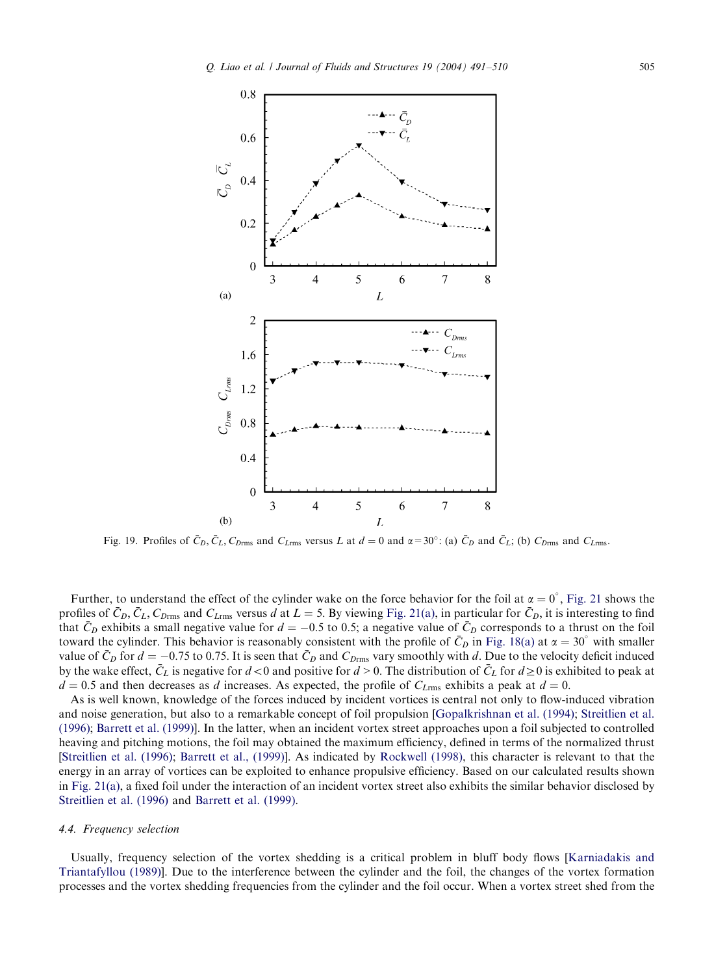<span id="page-14-0"></span>

Fig. 19. Profiles of  $\bar{C}_D$ ,  $\bar{C}_L$ ,  $C_{Drmms}$  [and](#page-16-0)  $C_{Lrmms}$  versus L at  $d = 0$  and  $\alpha = 30^\circ$ : (a)  $\bar{C}_D$  and  $\bar{C}_L$ ; (b)  $C_{Drmms}$  and  $C_{Lrmms}$ .

Further, to understand the effect of the cylinder wake on the force behavior for the foil at  $\alpha = 0^{\circ}$ , Fig. 21 shows the profiles of  $\bar{C}_D$ ,  $\bar{C}_L$ ,  $C_{Drmms}$  and  $C_{Lrmms}$  versus d at  $L = 5$ . By viewing Fig. 21(a), in particular for  $\bar{C}_D$ , it is interesting to find that  $\bar{C}_D$  exhibits a small negative value for  $d = -0.5$  to 0.5; a negative value of  $\bar{C}_D$  corresponds to a thrust on the foil toward the cylinder. This behavior is reasonably consistent with the profile of  $\bar{C}_D$  in Fig. 18(a) at  $\alpha = 30^\circ$  with smaller value of  $\bar{C}_D$  for  $d = -0.75$  [to](#page-18-0) 0.75. It is seen that  $\bar{C}_D$  and  $C_{D\text{rms}}$  vary smoothly with d. [Due](#page-18-0) to [the](#page-18-0) [velocity](#page-18-0) [deficit](#page-19-0) [induced](#page-19-0) by the [wake](#page-18-0) [effect,](#page-18-0)  $\bar{C}_L$  is negative for  $d < 0$  and positive for  $d > 0$ . The distribution of  $\bar{C}_L$  for  $d \ge 0$  is exhibited to peak at  $d = 0.5$  and then decreases as d increases. As expected, the profile of  $C_{L\text{rms}}$  exhibits a peak at  $d = 0$ .

[As](#page-19-0) [is](#page-19-0) [well](#page-19-0) [known,](#page-19-0) [kn](#page-19-0)[owledge](#page-18-0) [of](#page-18-0) [the](#page-18-0) [forces](#page-18-0) induced byincide[nt](#page-19-0) [vortices](#page-19-0) [is](#page-19-0) [cent](#page-19-0)ral not onlyto flow-induced vibration a[nd noise ge](#page-16-0)neration, but also to a remarkable concept of foil propulsion [Gopalkrishnan et al. (1994); Streitlien et al. (1996); Barrett et al. (1999)]. In the latter, when an incident vortex street approaches upon a foil subjected to controlled [heaving](#page-19-0) [and](#page-19-0) [pitching](#page-19-0) [m](#page-19-0)oti[ons,](#page-18-0) [the](#page-18-0) [foil](#page-18-0) [mayobta](#page-18-0)ined the maximum efficiency, defined in terms of the normalized thrust [Streitlien et al. (1996); Barrett et al., (1999)]. As indicated by Rockwell (1998), this character is relevant to that the energy in an array of vortices can be exploited to enhance propulsive efficiency. Based on our calculated results shown in Fig. 21(a), a fixed foil under the interaction of an incident vortex street also exhibits the similar beh[avior disclosed by](#page-18-0) [Streitlien et al. \(1996](#page-18-0)) and Barrett et al. (1999).

## 4.4. Frequency selection

Usually, frequency selection of the vortex shedding is a critical problem in bluff body flows [Karniadakis and Triantafyllou (1989)]. Due to the interference between the cylinder and the foil, the changes of the vortex formation processes and the vortex shedding frequencies from the cylinder and the foil occur. When a vortex street shed from the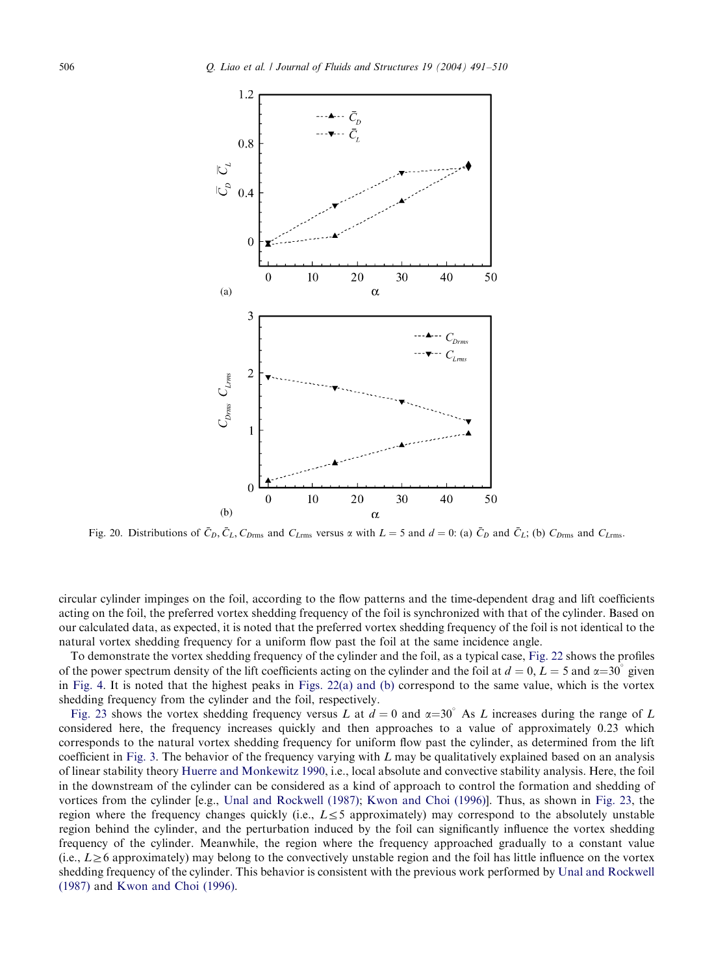

Fig. 20. Distributions of  $\bar{C}_D$ ,  $\bar{C}_L$ ,  $C_{Drm rms}$  and  $C_{Lrm rms}$  versus  $\alpha$  with  $L = 5$  and  $d = 0$ : (a)  $\bar{C}_D$  and  $\bar{C}_L$ ; (b)  $C_{Drm rms}$  and  $C_{Lrm rms}$ .

circular cylinder impinges on the foil, according to the flow patterns and the time-dependent [drag](#page-17-0) [a](#page-17-0)nd lift coefficients acting on the foil, the preferred vortex shedding frequency of the foil is synchronized with that of the cylinder. Based on ou[r](#page-4-0) [calcu](#page-4-0)lated data, as expected, it is noted that [the](#page-17-0) [preferred](#page-17-0) [vortex](#page-17-0) shedding frequency of the foil is not identical to the natural vortex shedding frequency for a uniform flow past the foil at the same incidence angle.

[To](#page-17-0) [dem](#page-17-0)onstrate the vortex shedding frequency of the cylinder and the foil, as a typical case, Fig. 22 shows the profiles of the power spectrum density of the lift coefficients acting on the cylinder and the foil at  $d = 0, L = 5$  and  $\alpha = 30^{\circ}$  given in Fig. 4. It is noted that the highest peaks in Figs. 22(a) and (b) correspond to the same value, which is the vortex shedding fre[quency](#page-3-0) from the cylinder and the foil, respectively.

Fig. 23 shows the vo[rtex](#page-18-0) [shedding](#page-18-0) frequency versus L at  $d = 0$  and  $\alpha = 30^{\circ}$  As L increases during the range of L considered here, the frequency increases quickly and then approaches to a value of approximately 0.23 which corresponds to the natural vort[ex](#page-19-0) [shedding](#page-19-0) freq[u](#page-19-0)ency for u[niform](#page-18-0) [flow](#page-18-0) [past](#page-18-0) [the](#page-18-0) [cyli](#page-18-0)nder, as determined [from](#page-17-0) [th](#page-17-0)e lift coefficient in Fig. 3. The behavior of the frequency varying with  $L$  may be qualitatively explained based on an analysis of linear stability theory Huerre and Monkewitz 1990, i.e., local absolute and convective stability analysis. Here, the foil in the downstream of the cylinder can be considered as a kind of approach to control the formation and shedding of vortices from the cylinder [e.g., Unal and Rockwell (1987); Kwon and Choi (1996)]. Thus, as shown in Fig. 23, the region where the frequency changes quickly (i.e.,  $L \leq 5$  approximately) may correspond to the [absolutely](#page-19-0) [unstable](#page-19-0) [region](#page-19-0) behi[nd](#page-18-0) [the](#page-18-0) [cylinder,](#page-18-0) [and](#page-18-0) [th](#page-18-0)e perturbation induced by the foil can significantly influence the vortex shedding frequency of the cylinder. Meanwhile, the region where the frequency approached gradually to a constant value (i.e.,  $L \ge 6$  approximately) may belong to the convectively unstable region and the foil has little influence on the vortex shedding frequency of the cylinder. This behavior is consistent with the previous work performed by Unal and Rockwell (1987) and Kwon and Choi (1996).

<span id="page-15-0"></span>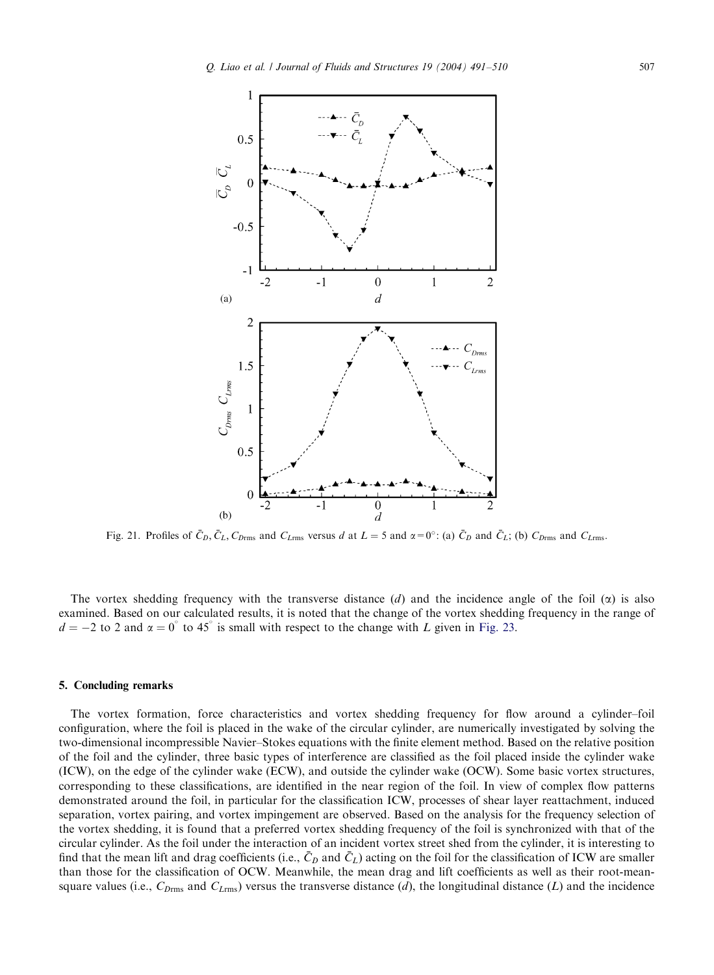<span id="page-16-0"></span>

Fig. 21. Profiles of  $\bar{C}_D$ ,  $\bar{C}_L$ ,  $C_{Drmms}$  and  $C_{Lrmms}$  versus d at  $L = 5$  and  $\alpha = 0^\circ$ : (a)  $\bar{C}_D$  and  $\bar{C}_L$ ; (b)  $C_{Drmms}$  and  $C_{Lrmms}$ .

The vortex shedding frequency with the transverse distance  $(d)$  and the incidence angle of the foil  $(\alpha)$  is also examined. Based on our calculated results, it is noted that the change of the vortex shedding frequency in the range of  $d = -2$  to 2 and  $\alpha = 0^{\degree}$  to 45° is small with respect to the change with L given in Fig. 23.

## 5. Concluding remarks

The vortex formation, force characteristics and vortex shedding frequency for flow around a cylinder–foil configuration, where the foil is placed in the wake of the circular cylinder, are numerically investigated by solving the two-dimensional incompressible Navier–Stokes equations with the finite element method. Based on the relative position of the foil and the cylinder, three basic types of interference are classified as the foil placed inside the cylinder wake (ICW), on the edge of the cylinder wake (ECW), and outside the cylinder wake (OCW). Some basic vortex structures, corresponding to these classifications, are identified in the near region of the foil. In view of complex flow patterns demonstrated around the foil, in particular for the classification ICW, processes of shear layer reattachment, induced separation, vortex pairing, and vortex impingement are observed. Based on the analysis for the frequency selection of the vortex shedding, it is found that a preferred vortex shedding frequency of the foil is synchronized with that of the circular cylinder. As the foil under the interaction of an incident vortex street shed from the cylinder, it is interesting to find that the mean lift and drag coefficients (i.e.,  $\bar{C}_D$  and  $\bar{C}_L$ ) acting on the foil for the classification of ICW are smaller than those for the classification of OCW. Meanwhile, the mean drag and lift coefficients as well as their root-meansquare values (i.e.,  $C_{D\text{rms}}$  and  $C_{L\text{rms}}$ ) versus the transverse distance (d), the longitudinal distance (L) and the incidence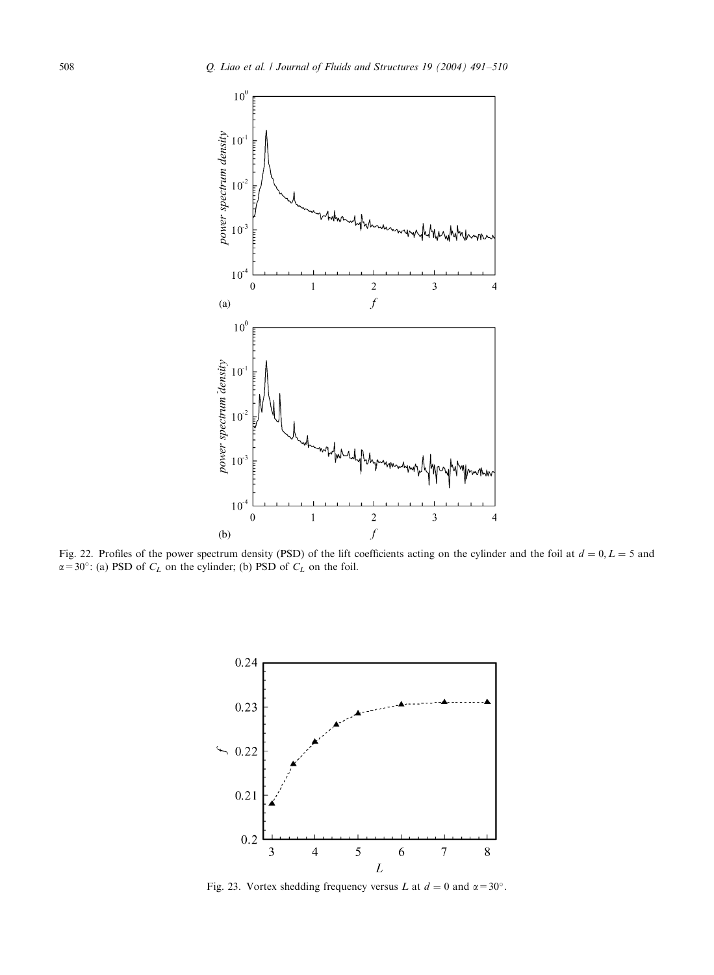<span id="page-17-0"></span>

Fig. 22. Profiles of the power spectrum density (PSD) of the lift coefficients acting on the cylinder and the foil at  $d = 0, L = 5$  and  $\alpha$  = 30°: (a) PSD of  $C_L$  on the cylinder; (b) PSD of  $C_L$  on the foil.



Fig. 23. Vortex shedding frequency versus L at  $d = 0$  and  $\alpha = 30^{\circ}$ .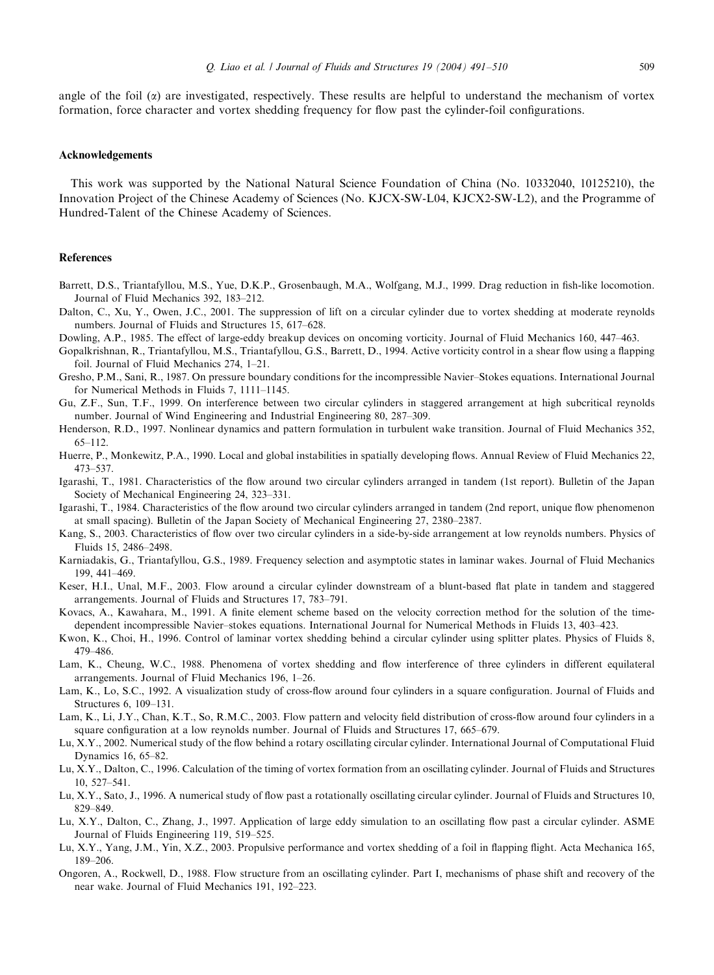<span id="page-18-0"></span>angle of the foil  $(\alpha)$  are investigated, respectively. These results are helpful to understand the mechanism of vortex formation, force character and vortex shedding frequency for flow past the cylinder-foil configurations.

## Acknowledgements

This work was supported bythe National Natural Science Foundation of China (No. 10332040, 10125210), the Innovation Project of the Chinese Academyof Sciences (No. KJCX-SW-L04, KJCX2-SW-L2), and the Programme of Hundred-Talent of the Chinese Academy of Sciences.

## References

- Barrett, D.S., Triantafyllou, M.S., Yue, D.K.P., Grosenbaugh, M.A., Wolfgang, M.J., 1999. Drag reduction in fish-like locomotion. Journal of Fluid Mechanics 392, 183–212.
- Dalton, C., Xu, Y., Owen, J.C., 2001. The suppression of lift on a circular cylinder due to vortex shedding at moderate reynolds numbers. Journal of Fluids and Structures 15, 617–628.
- Dowling, A.P., 1985. The effect of large-eddy breakup devices on oncoming vorticity. Journal of Fluid Mechanics 160, 447–463.
- Gopalkrishnan, R., Triantafyllou, M.S., Triantafyllou, G.S., Barrett, D., 1994. Active vorticity control in a shear flow using a flapping foil. Journal of Fluid Mechanics 274, 1–21.
- Gresho, P.M., Sani, R., 1987. On pressure boundaryconditions for the incompressible Navier–Stokes equations. International Journal for Numerical Methods in Fluids 7, 1111–1145.
- Gu, Z.F., Sun, T.F., 1999. On interference between two circular cylinders in staggered arrangement at high subcritical reynolds number. Journal of Wind Engineering and Industrial Engineering 80, 287–309.
- Henderson, R.D., 1997. Nonlinear dynamics and pattern formulation in turbulent wake transition. Journal of Fluid Mechanics 352, 65–112.
- Huerre, P., Monkewitz, P.A., 1990. Local and global instabilities in spatiallydeveloping flows. Annual Review of Fluid Mechanics 22, 473–537.
- Igarashi, T., 1981. Characteristics of the flow around two circular cylinders arranged in tandem (1st report). Bulletin of the Japan Society of Mechanical Engineering 24, 323–331.
- Igarashi, T., 1984. Characteristics of the flow around two circular cylinders arranged in tandem (2nd report, unique flow phenomenon at small spacing). Bulletin of the Japan Societyof Mechanical Engineering 27, 2380–2387.
- Kang, S., 2003. Characteristics of flow over two circular cylinders in a side-by-side arrangement at low reynolds numbers. Physics of Fluids 15, 2486–2498.
- Karniadakis, G., Triantafyllou, G.S., 1989. Frequency selection and asymptotic states in laminar wakes. Journal of Fluid Mechanics 199, 441–469.
- Keser, H.I., Unal, M.F., 2003. Flow around a circular cylinder downstream of a blunt-based flat plate in tandem and staggered arrangements. Journal of Fluids and Structures 17, 783–791.
- Kovacs, A., Kawahara, M., 1991. A finite element scheme based on the velocity correction method for the solution of the timedependent incompressible Navier–stokes equations. International Journal for Numerical Methods in Fluids 13, 403–423.
- Kwon, K., Choi, H., 1996. Control of laminar vortex shedding behind a circular cylinder using splitter plates. Physics of Fluids 8, 479–486.
- Lam, K., Cheung, W.C., 1988. Phenomena of vortex shedding and flow interference of three cylinders in different equilateral arrangements. Journal of Fluid Mechanics 196, 1–26.
- Lam, K., Lo, S.C., 1992. A visualization study of cross-flow around four cylinders in a square configuration. Journal of Fluids and Structures 6, 109–131.
- Lam, K., Li, J.Y., Chan, K.T., So, R.M.C., 2003. Flow pattern and velocity field distribution of cross-flow around four cylinders in a square configuration at a low reynolds number. Journal of Fluids and Structures 17, 665–679.
- Lu, X.Y., 2002. Numerical study of the flow behind a rotary oscillating circular cylinder. International Journal of Computational Fluid Dynamics 16, 65–82.
- Lu, X.Y., Dalton, C., 1996. Calculation of the timing of vortex formation from an oscillating cylinder. Journal of Fluids and Structures 10, 527–541.
- Lu, X.Y., Sato, J., 1996. A numerical study of flow past a rotationally oscillating circular cylinder. Journal of Fluids and Structures 10, 829–849.
- Lu, X.Y., Dalton, C., Zhang, J., 1997. Application of large eddy simulation to an oscillating flow past a circular cylinder. ASME Journal of Fluids Engineering 119, 519–525.
- Lu, X.Y., Yang, J.M., Yin, X.Z., 2003. Propulsive performance and vortex shedding of a foil in flapping flight. Acta Mechanica 165, 189–206.
- Ongoren, A., Rockwell, D., 1988. Flow structure from an oscillating cylinder. Part I, mechanisms of phase shift and recovery of the near wake. Journal of Fluid Mechanics 191, 192–223.